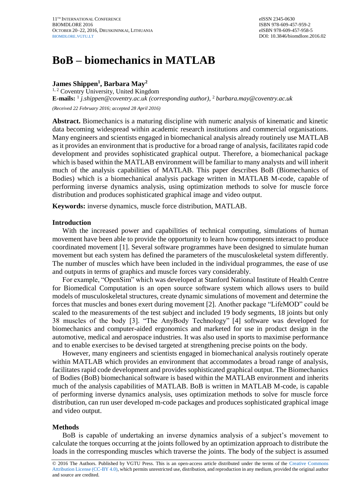# **BoB – biomechanics in MATLAB**

## **James Shippen<sup>1</sup> , Barbara May<sup>2</sup>**

<sup>1, 2</sup> Coventry University, United Kingdom **E-mails:** 1 *j.shippen@coventry.ac.uk (corresponding author)*, <sup>2</sup> *barbara.may@coventry.ac.uk (Received 22 February 2016; accepted 28 April 2016)*

**Abstract.** Biomechanics is a maturing discipline with numeric analysis of kinematic and kinetic data becoming widespread within academic research institutions and commercial organisations. Many engineers and scientists engaged in biomechanical analysis already routinely use MATLAB as it provides an environment that is productive for a broad range of analysis, facilitates rapid code development and provides sophisticated graphical output. Therefore, a biomechanical package which is based within the MATLAB environment will be familiar to many analysts and will inherit much of the analysis capabilities of MATLAB. This paper describes BoB (Biomechanics of Bodies) which is a biomechanical analysis package written in MATLAB M-code, capable of performing inverse dynamics analysis, using optimization methods to solve for muscle force distribution and produces sophisticated graphical image and video output.

**Keywords:** inverse dynamics, muscle force distribution, MATLAB.

## **Introduction**

With the increased power and capabilities of technical computing, simulations of human movement have been able to provide the opportunity to learn how components interact to produce coordinated movement [1]. Several software programmes have been designed to simulate human movement but each system has defined the parameters of the musculoskeletal system differently. The number of muscles which have been included in the individual programmes, the ease of use and outputs in terms of graphics and muscle forces vary considerably.

For example, "OpenSim" which was developed at Stanford National Institute of Health Centre for Biomedical Computation is an open source software system which allows users to build models of musculoskeletal structures, create dynamic simulations of movement and determine the forces that muscles and bones exert during movement [2]. Another package "LifeMOD" could be scaled to the measurements of the test subject and included 19 body segments, 18 joints but only 38 muscles of the body [3]. "The AnyBody Technology" [4] software was developed for biomechanics and computer-aided ergonomics and marketed for use in product design in the automotive, medical and aerospace industries. It was also used in sports to maximise performance and to enable exercises to be devised targeted at strengthening precise points on the body.

However, many engineers and scientists engaged in biomechanical analysis routinely operate within MATLAB which provides an environment that accommodates a broad range of analysis, facilitates rapid code development and provides sophisticated graphical output. The Biomechanics of Bodies (BoB) biomechanical software is based within the MATLAB environment and inherits much of the analysis capabilities of MATLAB. BoB is written in MATLAB M-code, is capable of performing inverse dynamics analysis, uses optimization methods to solve for muscle force distribution, can run user developed m-code packages and produces sophisticated graphical image and video output.

## **Methods**

BoB is capable of undertaking an inverse dynamics analysis of a subject's movement to calculate the torques occurring at the joints followed by an optimization approach to distribute the loads in the corresponding muscles which traverse the joints. The body of the subject is assumed

<sup>© 2016</sup> The Authors. Published by VGTU Press. This is an open-access article distributed under the terms of the [Creative Commons](https://creativecommons.org/licenses/by/4.0/)  [Attribution License \(CC-BY 4.0\),](https://creativecommons.org/licenses/by/4.0/) which permits unrestricted use, distribution, and reproduction in any medium, provided the original author and source are credited.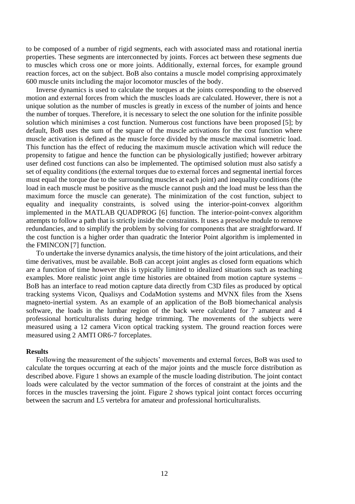to be composed of a number of rigid segments, each with associated mass and rotational inertia properties. These segments are interconnected by joints. Forces act between these segments due to muscles which cross one or more joints. Additionally, external forces, for example ground reaction forces, act on the subject. BoB also contains a muscle model comprising approximately 600 muscle units including the major locomotor muscles of the body.

Inverse dynamics is used to calculate the torques at the joints corresponding to the observed motion and external forces from which the muscles loads are calculated. However, there is not a unique solution as the number of muscles is greatly in excess of the number of joints and hence the number of torques. Therefore, it is necessary to select the one solution for the infinite possible solution which minimises a cost function. Numerous cost functions have been proposed [5]; by default, BoB uses the sum of the square of the muscle activations for the cost function where muscle activation is defined as the muscle force divided by the muscle maximal isometric load. This function has the effect of reducing the maximum muscle activation which will reduce the propensity to fatigue and hence the function can be physiologically justified; however arbitrary user defined cost functions can also be implemented. The optimised solution must also satisfy a set of equality conditions (the external torques due to external forces and segmental inertial forces must equal the torque due to the surrounding muscles at each joint) and inequality conditions (the load in each muscle must be positive as the muscle cannot push and the load must be less than the maximum force the muscle can generate). The minimization of the cost function, subject to equality and inequality constraints, is solved using the interior-point-convex algorithm implemented in the MATLAB QUADPROG [6] function. The interior-point-convex algorithm attempts to follow a path that is strictly inside the constraints. It uses a presolve module to remove redundancies, and to simplify the problem by solving for components that are straightforward. If the cost function is a higher order than quadratic the Interior Point algorithm is implemented in the FMINCON [7] function.

To undertake the inverse dynamics analysis, the time history of the joint articulations, and their time derivatives, must be available. BoB can accept joint angles as closed form equations which are a function of time however this is typically limited to idealized situations such as teaching examples. More realistic joint angle time histories are obtained from motion capture systems – BoB has an interface to read motion capture data directly from C3D files as produced by optical tracking systems Vicon, Qualisys and CodaMotion systems and MVNX files from the Xsens magneto-inertial system. As an example of an application of the BoB biomechanical analysis software, the loads in the lumbar region of the back were calculated for 7 amateur and 4 professional horticulturalists during hedge trimming. The movements of the subjects were measured using a 12 camera Vicon optical tracking system. The ground reaction forces were measured using 2 AMTI OR6-7 forceplates.

#### **Results**

Following the measurement of the subjects' movements and external forces, BoB was used to calculate the torques occurring at each of the major joints and the muscle force distribution as described above. Figure 1 shows an example of the muscle loading distribution. The joint contact loads were calculated by the vector summation of the forces of constraint at the joints and the forces in the muscles traversing the joint. Figure 2 shows typical joint contact forces occurring between the sacrum and L5 vertebra for amateur and professional horticulturalists.